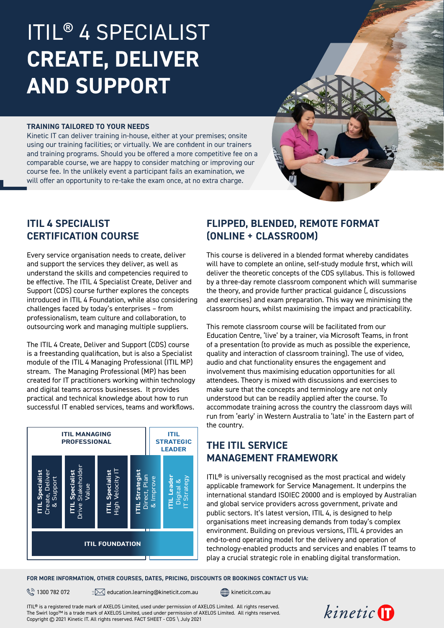# ITIL® 4 SPECIALIST **CREATE, DELIVER AND SUPPORT**

#### **TRAINING TAILORED TO YOUR NEEDS**

Kinetic IT can deliver training in-house, either at your premises; onsite using our training facilities; or virtually. We are confident in our trainers and training programs. Should you be offered a more competitive fee on a comparable course, we are happy to consider matching or improving our course fee. In the unlikely event a participant fails an examination, we will offer an opportunity to re-take the exam once, at no extra charge.

### **ITIL 4 SPECIALIST CERTIFICATION COURSE**

Every service organisation needs to create, deliver and support the services they deliver, as well as understand the skills and competencies required to be effective. The ITIL 4 Specialist Create, Deliver and Support (CDS) course further explores the concepts introduced in ITIL 4 Foundation, while also considering challenges faced by today's enterprises – from professionalism, team culture and collaboration, to outsourcing work and managing multiple suppliers.

The ITIL 4 Create, Deliver and Support (CDS) course is a freestanding qualification, but is also a Specialist module of the ITIL 4 Managing Professional (ITIL MP) stream. The Managing Professional (MP) has been created for IT practitioners working within technology and digital teams across businesses. It provides practical and technical knowledge about how to run successful IT enabled services, teams and workflows.



# **FLIPPED, BLENDED, REMOTE FORMAT (ONLINE + CLASSROOM)**

This course is delivered in a blended format whereby candidates will have to complete an online, self-study module first, which will deliver the theoretic concepts of the CDS syllabus. This is followed by a three-day remote classroom component which will summarise the theory, and provide further practical guidance (, discussions and exercises) and exam preparation. This way we minimising the classroom hours, whilst maximising the impact and practicability.

This remote classroom course will be facilitated from our Education Centre, 'live' by a trainer, via Microsoft Teams, in front of a presentation (to provide as much as possible the experience, quality and interaction of classroom training). The use of video, audio and chat functionality ensures the engagement and involvement thus maximising education opportunities for all attendees. Theory is mixed with discussions and exercises to make sure that the concepts and terminology are not only understood but can be readily applied after the course. To accommodate training across the country the classroom days will run from 'early' in Western Australia to 'late' in the Eastern part of the country.

# **THE ITIL SERVICE MANAGEMENT FRAMEWORK**

ITIL® is universally recognised as the most practical and widely applicable framework for Service Management. It underpins the international standard ISOIEC 20000 and is employed by Australian and global service providers across government, private and public sectors. It's latest version, ITIL 4, is designed to help organisations meet increasing demands from today's complex environment. Building on previous versions, ITIL 4 provides an end-to-end operating model for the delivery and operation of technology-enabled products and services and enables IT teams to play a crucial strategic role in enabling digital transformation.

#### **FOR MORE INFORMATION, OTHER COURSES, DATES, PRICING, DISCOUNTS OR BOOKINGS CONTACT US VIA:**

 $\mathbb{R}$  1300 782 072  $\mathbb{R}$  education.learning@[kineticit.com.au](http://kineticit.com.au)  $\mathbb{R}$  kineticit.com.au

ITIL® is a registered trade mark of AXELOS Limited, used under permission of AXELOS Limited. All rights reserved. The Swirl logo™ is a trade mark of AXELOS Limited, used under permission of AXELOS Limited. All rights reserved. Copyright © 2021 Kinetic IT. All rights reserved. FACT SHEET - CDS \ July 2021